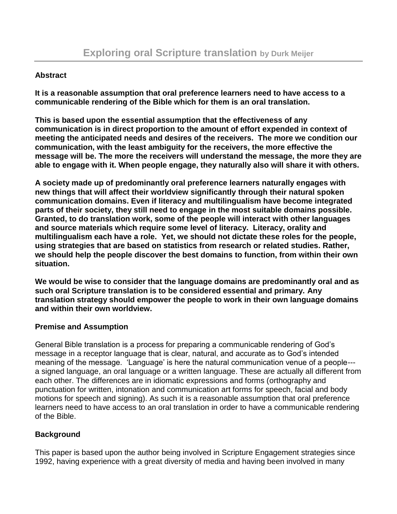### **Abstract**

**It is a reasonable assumption that oral preference learners need to have access to a communicable rendering of the Bible which for them is an oral translation.**

**This is based upon the essential assumption that the effectiveness of any communication is in direct proportion to the amount of effort expended in context of meeting the anticipated needs and desires of the receivers. The more we condition our communication, with the least ambiguity for the receivers, the more effective the message will be. The more the receivers will understand the message, the more they are able to engage with it. When people engage, they naturally also will share it with others.**

**A society made up of predominantly oral preference learners naturally engages with new things that will affect their worldview significantly through their natural spoken communication domains. Even if literacy and multilingualism have become integrated parts of their society, they still need to engage in the most suitable domains possible. Granted, to do translation work, some of the people will interact with other languages and source materials which require some level of literacy. Literacy, orality and multilingualism each have a role. Yet, we should not dictate these roles for the people, using strategies that are based on statistics from research or related studies. Rather, we should help the people discover the best domains to function, from within their own situation.**

**We would be wise to consider that the language domains are predominantly oral and as such oral Scripture translation is to be considered essential and primary. Any translation strategy should empower the people to work in their own language domains and within their own worldview.**

### **Premise and Assumption**

General Bible translation is a process for preparing a communicable rendering of God's message in a receptor language that is clear, natural, and accurate as to God's intended meaning of the message. 'Language' is here the natural communication venue of a people-- a signed language, an oral language or a written language. These are actually all different from each other. The differences are in idiomatic expressions and forms (orthography and punctuation for written, intonation and communication art forms for speech, facial and body motions for speech and signing). As such it is a reasonable assumption that oral preference learners need to have access to an oral translation in order to have a communicable rendering of the Bible.

# **Background**

This paper is based upon the author being involved in Scripture Engagement strategies since 1992, having experience with a great diversity of media and having been involved in many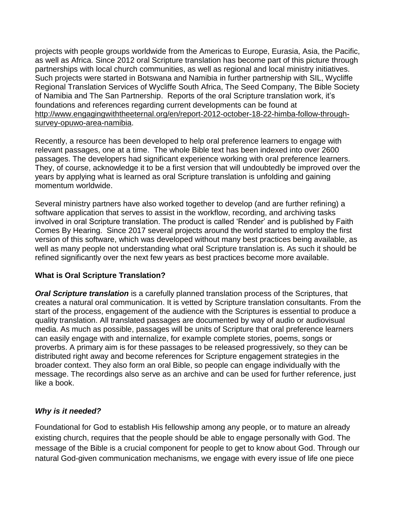projects with people groups worldwide from the Americas to Europe, Eurasia, Asia, the Pacific, as well as Africa. Since 2012 oral Scripture translation has become part of this picture through partnerships with local church communities, as well as regional and local ministry initiatives. Such projects were started in Botswana and Namibia in further partnership with SIL, Wycliffe Regional Translation Services of Wycliffe South Africa, The Seed Company, The Bible Society of Namibia and The San Partnership. Reports of the oral Scripture translation work, it's foundations and references regarding current developments can be found at [http://www.engagingwiththeeternal.org/en/report-2012-october-18-22-himba-follow-through](http://www.engagingwiththeeternal.org/en/report-2012-october-18-22-himba-follow-through-survey-opuwo-area-namibia)[survey-opuwo-area-namibia.](http://www.engagingwiththeeternal.org/en/report-2012-october-18-22-himba-follow-through-survey-opuwo-area-namibia)

Recently, a resource has been developed to help oral preference learners to engage with relevant passages, one at a time. The whole Bible text has been indexed into over 2600 passages. The developers had significant experience working with oral preference learners. They, of course, acknowledge it to be a first version that will undoubtedly be improved over the years by applying what is learned as oral Scripture translation is unfolding and gaining momentum worldwide.

Several ministry partners have also worked together to develop (and are further refining) a software application that serves to assist in the workflow, recording, and archiving tasks involved in oral Scripture translation. The product is called 'Render' and is published by Faith Comes By Hearing. Since 2017 several projects around the world started to employ the first version of this software, which was developed without many best practices being available, as well as many people not understanding what oral Scripture translation is. As such it should be refined significantly over the next few years as best practices become more available.

### **What is Oral Scripture Translation?**

*Oral Scripture translation* is a carefully planned translation process of the Scriptures, that creates a natural oral communication. It is vetted by Scripture translation consultants. From the start of the process, engagement of the audience with the Scriptures is essential to produce a quality translation. All translated passages are documented by way of audio or audiovisual media. As much as possible, passages will be units of Scripture that oral preference learners can easily engage with and internalize, for example complete stories, poems, songs or proverbs. A primary aim is for these passages to be released progressively, so they can be distributed right away and become references for Scripture engagement strategies in the broader context. They also form an oral Bible, so people can engage individually with the message. The recordings also serve as an archive and can be used for further reference, just like a book.

### *Why is it needed?*

Foundational for God to establish His fellowship among any people, or to mature an already existing church, requires that the people should be able to engage personally with God. The message of the Bible is a crucial component for people to get to know about God. Through our natural God-given communication mechanisms, we engage with every issue of life one piece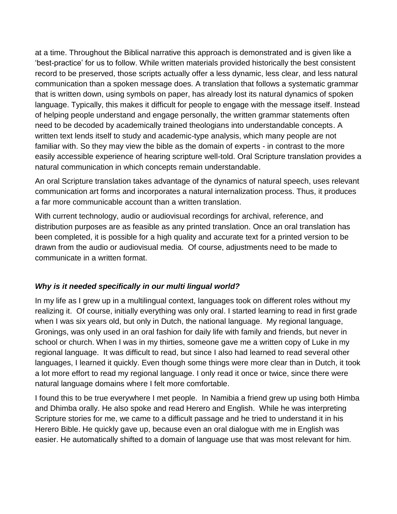at a time. Throughout the Biblical narrative this approach is demonstrated and is given like a 'best-practice' for us to follow. While written materials provided historically the best consistent record to be preserved, those scripts actually offer a less dynamic, less clear, and less natural communication than a spoken message does. A translation that follows a systematic grammar that is written down, using symbols on paper, has already lost its natural dynamics of spoken language. Typically, this makes it difficult for people to engage with the message itself. Instead of helping people understand and engage personally, the written grammar statements often need to be decoded by academically trained theologians into understandable concepts. A written text lends itself to study and academic-type analysis, which many people are not familiar with. So they may view the bible as the domain of experts - in contrast to the more easily accessible experience of hearing scripture well-told. Oral Scripture translation provides a natural communication in which concepts remain understandable.

An oral Scripture translation takes advantage of the dynamics of natural speech, uses relevant communication art forms and incorporates a natural internalization process. Thus, it produces a far more communicable account than a written translation.

With current technology, audio or audiovisual recordings for archival, reference, and distribution purposes are as feasible as any printed translation. Once an oral translation has been completed, it is possible for a high quality and accurate text for a printed version to be drawn from the audio or audiovisual media. Of course, adjustments need to be made to communicate in a written format.

### *Why is it needed specifically in our multi lingual world?*

In my life as I grew up in a multilingual context, languages took on different roles without my realizing it. Of course, initially everything was only oral. I started learning to read in first grade when I was six years old, but only in Dutch, the national language. My regional language, Gronings, was only used in an oral fashion for daily life with family and friends, but never in school or church. When I was in my thirties, someone gave me a written copy of Luke in my regional language. It was difficult to read, but since I also had learned to read several other languages, I learned it quickly. Even though some things were more clear than in Dutch, it took a lot more effort to read my regional language. I only read it once or twice, since there were natural language domains where I felt more comfortable.

I found this to be true everywhere I met people. In Namibia a friend grew up using both Himba and Dhimba orally. He also spoke and read Herero and English. While he was interpreting Scripture stories for me, we came to a difficult passage and he tried to understand it in his Herero Bible. He quickly gave up, because even an oral dialogue with me in English was easier. He automatically shifted to a domain of language use that was most relevant for him.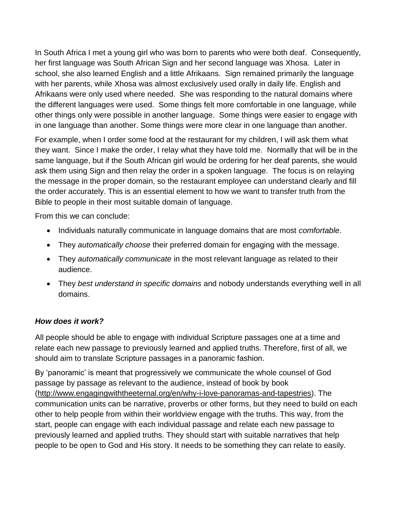In South Africa I met a young girl who was born to parents who were both deaf. Consequently, her first language was South African Sign and her second language was Xhosa. Later in school, she also learned English and a little Afrikaans. Sign remained primarily the language with her parents, while Xhosa was almost exclusively used orally in daily life. English and Afrikaans were only used where needed. She was responding to the natural domains where the different languages were used. Some things felt more comfortable in one language, while other things only were possible in another language. Some things were easier to engage with in one language than another. Some things were more clear in one language than another.

For example, when I order some food at the restaurant for my children, I will ask them what they want. Since I make the order, I relay what they have told me. Normally that will be in the same language, but if the South African girl would be ordering for her deaf parents, she would ask them using Sign and then relay the order in a spoken language. The focus is on relaying the message in the proper domain, so the restaurant employee can understand clearly and fill the order accurately. This is an essential element to how we want to transfer truth from the Bible to people in their most suitable domain of language.

From this we can conclude:

- Individuals naturally communicate in language domains that are most *comfortable*.
- They *automatically choose* their preferred domain for engaging with the message.
- They *automatically communicate* in the most relevant language as related to their audience.
- They *best understand in specific domains* and nobody understands everything well in all domains.

# *How does it work?*

All people should be able to engage with individual Scripture passages one at a time and relate each new passage to previously learned and applied truths. Therefore, first of all, we should aim to translate Scripture passages in a panoramic fashion.

By 'panoramic' is meant that progressively we communicate the whole counsel of God passage by passage as relevant to the audience, instead of book by book [\(http://www.engagingwiththeeternal.org/en/why-i-love-panoramas-and-tapestries\)](http://www.engagingwiththeeternal.org/en/why-i-love-panoramas-and-tapestries). The communication units can be narrative, proverbs or other forms, but they need to build on each other to help people from within their worldview engage with the truths. This way, from the start, people can engage with each individual passage and relate each new passage to previously learned and applied truths. They should start with suitable narratives that help people to be open to God and His story. It needs to be something they can relate to easily.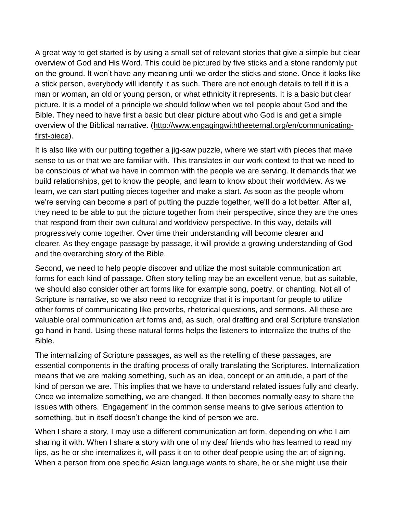A great way to get started is by using a small set of relevant stories that give a simple but clear overview of God and His Word. This could be pictured by five sticks and a stone randomly put on the ground. It won't have any meaning until we order the sticks and stone. Once it looks like a stick person, everybody will identify it as such. There are not enough details to tell if it is a man or woman, an old or young person, or what ethnicity it represents. It is a basic but clear picture. It is a model of a principle we should follow when we tell people about God and the Bible. They need to have first a basic but clear picture about who God is and get a simple overview of the Biblical narrative. [\(http://www.engagingwiththeeternal.org/en/communicating](http://www.engagingwiththeeternal.org/en/communicating-first-piece)[first-piece\)](http://www.engagingwiththeeternal.org/en/communicating-first-piece).

It is also like with our putting together a jig-saw puzzle, where we start with pieces that make sense to us or that we are familiar with. This translates in our work context to that we need to be conscious of what we have in common with the people we are serving. It demands that we build relationships, get to know the people, and learn to know about their worldview. As we learn, we can start putting pieces together and make a start. As soon as the people whom we're serving can become a part of putting the puzzle together, we'll do a lot better. After all, they need to be able to put the picture together from their perspective, since they are the ones that respond from their own cultural and worldview perspective. In this way, details will progressively come together. Over time their understanding will become clearer and clearer. As they engage passage by passage, it will provide a growing understanding of God and the overarching story of the Bible.

Second, we need to help people discover and utilize the most suitable communication art forms for each kind of passage. Often story telling may be an excellent venue, but as suitable, we should also consider other art forms like for example song, poetry, or chanting. Not all of Scripture is narrative, so we also need to recognize that it is important for people to utilize other forms of communicating like proverbs, rhetorical questions, and sermons. All these are valuable oral communication art forms and, as such, oral drafting and oral Scripture translation go hand in hand. Using these natural forms helps the listeners to internalize the truths of the Bible.

The internalizing of Scripture passages, as well as the retelling of these passages, are essential components in the drafting process of orally translating the Scriptures. Internalization means that we are making something, such as an idea, concept or an attitude, a part of the kind of person we are. This implies that we have to understand related issues fully and clearly. Once we internalize something, we are changed. It then becomes normally easy to share the issues with others. 'Engagement' in the common sense means to give serious attention to something, but in itself doesn't change the kind of person we are.

When I share a story, I may use a different communication art form, depending on who I am sharing it with. When I share a story with one of my deaf friends who has learned to read my lips, as he or she internalizes it, will pass it on to other deaf people using the art of signing. When a person from one specific Asian language wants to share, he or she might use their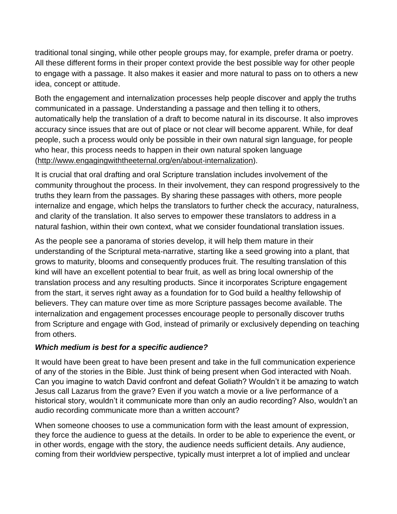traditional tonal singing, while other people groups may, for example, prefer drama or poetry. All these different forms in their proper context provide the best possible way for other people to engage with a passage. It also makes it easier and more natural to pass on to others a new idea, concept or attitude.

Both the engagement and internalization processes help people discover and apply the truths communicated in a passage. Understanding a passage and then telling it to others, automatically help the translation of a draft to become natural in its discourse. It also improves accuracy since issues that are out of place or not clear will become apparent. While, for deaf people, such a process would only be possible in their own natural sign language, for people who hear, this process needs to happen in their own natural spoken language [\(http://www.engagingwiththeeternal.org/en/about-internalization\)](http://www.engagingwiththeeternal.org/en/about-internalization).

It is crucial that oral drafting and oral Scripture translation includes involvement of the community throughout the process. In their involvement, they can respond progressively to the truths they learn from the passages. By sharing these passages with others, more people internalize and engage, which helps the translators to further check the accuracy, naturalness, and clarity of the translation. It also serves to empower these translators to address in a natural fashion, within their own context, what we consider foundational translation issues.

As the people see a panorama of stories develop, it will help them mature in their understanding of the Scriptural meta-narrative, starting like a seed growing into a plant, that grows to maturity, blooms and consequently produces fruit. The resulting translation of this kind will have an excellent potential to bear fruit, as well as bring local ownership of the translation process and any resulting products. Since it incorporates Scripture engagement from the start, it serves right away as a foundation for to God build a healthy fellowship of believers. They can mature over time as more Scripture passages become available. The internalization and engagement processes encourage people to personally discover truths from Scripture and engage with God, instead of primarily or exclusively depending on teaching from others.

### *Which medium is best for a specific audience?*

It would have been great to have been present and take in the full communication experience of any of the stories in the Bible. Just think of being present when God interacted with Noah. Can you imagine to watch David confront and defeat Goliath? Wouldn't it be amazing to watch Jesus call Lazarus from the grave? Even if you watch a movie or a live performance of a historical story, wouldn't it communicate more than only an audio recording? Also, wouldn't an audio recording communicate more than a written account?

When someone chooses to use a communication form with the least amount of expression, they force the audience to guess at the details. In order to be able to experience the event, or in other words, engage with the story, the audience needs sufficient details. Any audience, coming from their worldview perspective, typically must interpret a lot of implied and unclear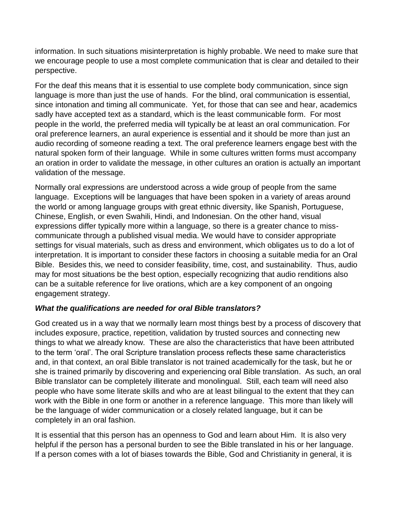information. In such situations misinterpretation is highly probable. We need to make sure that we encourage people to use a most complete communication that is clear and detailed to their perspective.

For the deaf this means that it is essential to use complete body communication, since sign language is more than just the use of hands. For the blind, oral communication is essential, since intonation and timing all communicate. Yet, for those that can see and hear, academics sadly have accepted text as a standard, which is the least communicable form. For most people in the world, the preferred media will typically be at least an oral communication. For oral preference learners, an aural experience is essential and it should be more than just an audio recording of someone reading a text. The oral preference learners engage best with the natural spoken form of their language. While in some cultures written forms must accompany an oration in order to validate the message, in other cultures an oration is actually an important validation of the message.

Normally oral expressions are understood across a wide group of people from the same language. Exceptions will be languages that have been spoken in a variety of areas around the world or among language groups with great ethnic diversity, like Spanish, Portuguese, Chinese, English, or even Swahili, Hindi, and Indonesian. On the other hand, visual expressions differ typically more within a language, so there is a greater chance to misscommunicate through a published visual media. We would have to consider appropriate settings for visual materials, such as dress and environment, which obligates us to do a lot of interpretation. It is important to consider these factors in choosing a suitable media for an Oral Bible. Besides this, we need to consider feasibility, time, cost, and sustainability. Thus, audio may for most situations be the best option, especially recognizing that audio renditions also can be a suitable reference for live orations, which are a key component of an ongoing engagement strategy.

### *What the qualifications are needed for oral Bible translators?*

God created us in a way that we normally learn most things best by a process of discovery that includes exposure, practice, repetition, validation by trusted sources and connecting new things to what we already know. These are also the characteristics that have been attributed to the term 'oral'. The oral Scripture translation process reflects these same characteristics and, in that context, an oral Bible translator is not trained academically for the task, but he or she is trained primarily by discovering and experiencing oral Bible translation. As such, an oral Bible translator can be completely illiterate and monolingual. Still, each team will need also people who have some literate skills and who are at least bilingual to the extent that they can work with the Bible in one form or another in a reference language. This more than likely will be the language of wider communication or a closely related language, but it can be completely in an oral fashion.

It is essential that this person has an openness to God and learn about Him. It is also very helpful if the person has a personal burden to see the Bible translated in his or her language. If a person comes with a lot of biases towards the Bible, God and Christianity in general, it is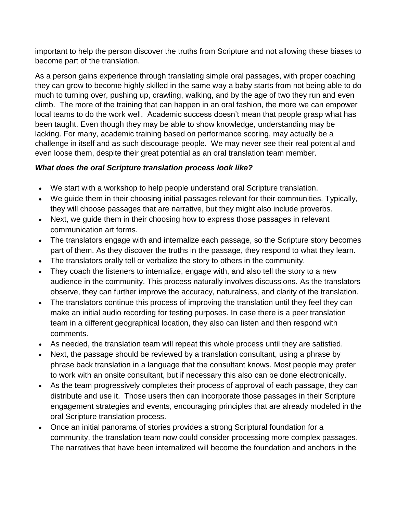important to help the person discover the truths from Scripture and not allowing these biases to become part of the translation.

As a person gains experience through translating simple oral passages, with proper coaching they can grow to become highly skilled in the same way a baby starts from not being able to do much to turning over, pushing up, crawling, walking, and by the age of two they run and even climb. The more of the training that can happen in an oral fashion, the more we can empower local teams to do the work well. Academic success doesn't mean that people grasp what has been taught. Even though they may be able to show knowledge, understanding may be lacking. For many, academic training based on performance scoring, may actually be a challenge in itself and as such discourage people. We may never see their real potential and even loose them, despite their great potential as an oral translation team member.

# *What does the oral Scripture translation process look like?*

- We start with a workshop to help people understand oral Scripture translation.
- We guide them in their choosing initial passages relevant for their communities. Typically, they will choose passages that are narrative, but they might also include proverbs.
- Next, we guide them in their choosing how to express those passages in relevant communication art forms.
- The translators engage with and internalize each passage, so the Scripture story becomes part of them. As they discover the truths in the passage, they respond to what they learn.
- The translators orally tell or verbalize the story to others in the community.
- They coach the listeners to internalize, engage with, and also tell the story to a new audience in the community. This process naturally involves discussions. As the translators observe, they can further improve the accuracy, naturalness, and clarity of the translation.
- The translators continue this process of improving the translation until they feel they can make an initial audio recording for testing purposes. In case there is a peer translation team in a different geographical location, they also can listen and then respond with comments.
- As needed, the translation team will repeat this whole process until they are satisfied.
- Next, the passage should be reviewed by a translation consultant, using a phrase by phrase back translation in a language that the consultant knows. Most people may prefer to work with an onsite consultant, but if necessary this also can be done electronically.
- As the team progressively completes their process of approval of each passage, they can distribute and use it. Those users then can incorporate those passages in their Scripture engagement strategies and events, encouraging principles that are already modeled in the oral Scripture translation process.
- Once an initial panorama of stories provides a strong Scriptural foundation for a community, the translation team now could consider processing more complex passages. The narratives that have been internalized will become the foundation and anchors in the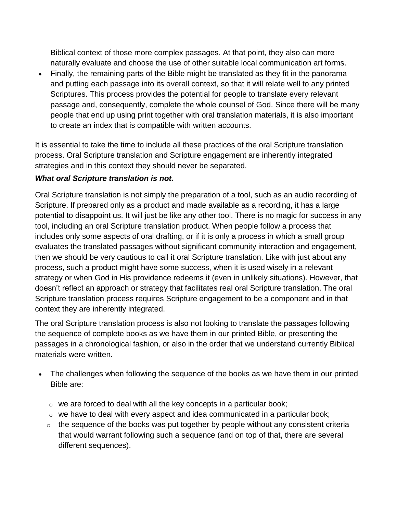Biblical context of those more complex passages. At that point, they also can more naturally evaluate and choose the use of other suitable local communication art forms.

 Finally, the remaining parts of the Bible might be translated as they fit in the panorama and putting each passage into its overall context, so that it will relate well to any printed Scriptures. This process provides the potential for people to translate every relevant passage and, consequently, complete the whole counsel of God. Since there will be many people that end up using print together with oral translation materials, it is also important to create an index that is compatible with written accounts.

It is essential to take the time to include all these practices of the oral Scripture translation process. Oral Scripture translation and Scripture engagement are inherently integrated strategies and in this context they should never be separated.

#### *What oral Scripture translation is not.*

Oral Scripture translation is not simply the preparation of a tool, such as an audio recording of Scripture. If prepared only as a product and made available as a recording, it has a large potential to disappoint us. It will just be like any other tool. There is no magic for success in any tool, including an oral Scripture translation product. When people follow a process that includes only some aspects of oral drafting, or if it is only a process in which a small group evaluates the translated passages without significant community interaction and engagement, then we should be very cautious to call it oral Scripture translation. Like with just about any process, such a product might have some success, when it is used wisely in a relevant strategy or when God in His providence redeems it (even in unlikely situations). However, that doesn't reflect an approach or strategy that facilitates real oral Scripture translation. The oral Scripture translation process requires Scripture engagement to be a component and in that context they are inherently integrated.

The oral Scripture translation process is also not looking to translate the passages following the sequence of complete books as we have them in our printed Bible, or presenting the passages in a chronological fashion, or also in the order that we understand currently Biblical materials were written.

- The challenges when following the sequence of the books as we have them in our printed Bible are:
	- $\circ$  we are forced to deal with all the key concepts in a particular book;
	- o we have to deal with every aspect and idea communicated in a particular book;
	- $\circ$  the sequence of the books was put together by people without any consistent criteria that would warrant following such a sequence (and on top of that, there are several different sequences).